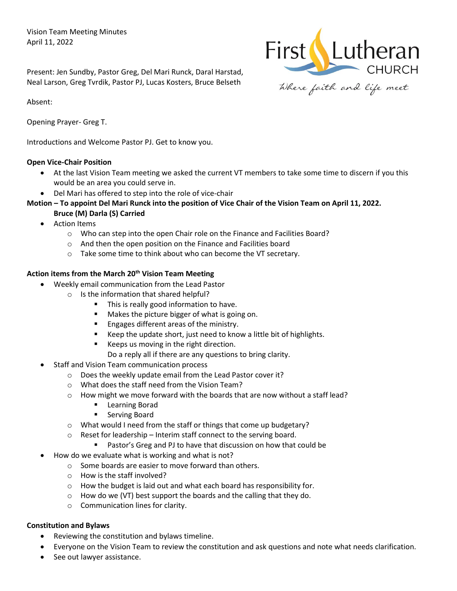Vision Team Meeting Minutes April 11, 2022



Present: Jen Sundby, Pastor Greg, Del Mari Runck, Daral Harstad, Neal Larson, Greg Tvrdik, Pastor PJ, Lucas Kosters, Bruce Belseth

Absent:

Opening Prayer- Greg T.

Introductions and Welcome Pastor PJ. Get to know you.

## **Open Vice-Chair Position**

- At the last Vision Team meeting we asked the current VT members to take some time to discern if you this would be an area you could serve in.
- Del Mari has offered to step into the role of vice-chair
- **Motion – To appoint Del Mari Runck into the position of Vice Chair of the Vision Team on April 11, 2022. Bruce (M) Darla (S) Carried** 
	- Action Items
		- $\circ$  Who can step into the open Chair role on the Finance and Facilities Board?
		- o And then the open position on the Finance and Facilities board
		- o Take some time to think about who can become the VT secretary.

## **Action items from the March 20th Vision Team Meeting**

- Weekly email communication from the Lead Pastor
	- o Is the information that shared helpful?
		- This is really good information to have.
		- Makes the picture bigger of what is going on.
		- **Engages different areas of the ministry.**
		- Keep the update short, just need to know a little bit of highlights.
		- Keeps us moving in the right direction.
			- Do a reply all if there are any questions to bring clarity.
- Staff and Vision Team communication process
	- o Does the weekly update email from the Lead Pastor cover it?
	- o What does the staff need from the Vision Team?
	- $\circ$  How might we move forward with the boards that are now without a staff lead?
		- Learning Borad
		- Serving Board
	- o What would I need from the staff or things that come up budgetary?
	- o Reset for leadership Interim staff connect to the serving board.
		- Pastor's Greg and PJ to have that discussion on how that could be
- How do we evaluate what is working and what is not?
	- o Some boards are easier to move forward than others.
	- o How is the staff involved?
	- o How the budget is laid out and what each board has responsibility for.
	- o How do we (VT) best support the boards and the calling that they do.
	- o Communication lines for clarity.

### **Constitution and Bylaws**

- Reviewing the constitution and bylaws timeline.
- Everyone on the Vision Team to review the constitution and ask questions and note what needs clarification.
- See out lawyer assistance.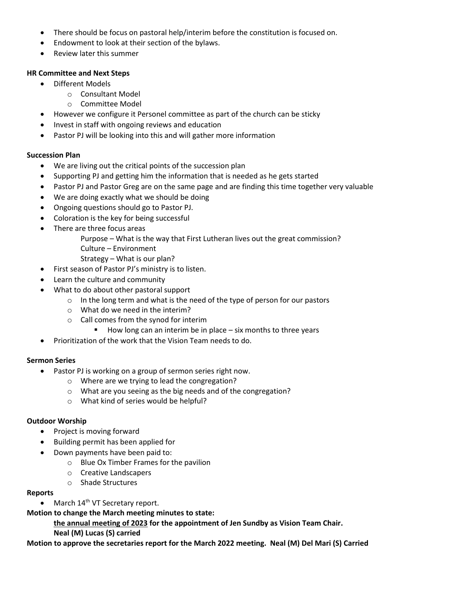- There should be focus on pastoral help/interim before the constitution is focused on.
- Endowment to look at their section of the bylaws.
- Review later this summer

#### **HR Committee and Next Steps**

- Different Models
	- o Consultant Model
	- o Committee Model
- However we configure it Personel committee as part of the church can be sticky
- Invest in staff with ongoing reviews and education
- Pastor PJ will be looking into this and will gather more information

### **Succession Plan**

- We are living out the critical points of the succession plan
- Supporting PJ and getting him the information that is needed as he gets started
- Pastor PJ and Pastor Greg are on the same page and are finding this time together very valuable
- We are doing exactly what we should be doing
- Ongoing questions should go to Pastor PJ.
- Coloration is the key for being successful
- There are three focus areas
	- Purpose What is the way that First Lutheran lives out the great commission?
	- Culture Environment
	- Strategy What is our plan?
- First season of Pastor PJ's ministry is to listen.
- Learn the culture and community
- What to do about other pastoral support
	- $\circ$  In the long term and what is the need of the type of person for our pastors
	- o What do we need in the interim?
	- o Call comes from the synod for interim
	- How long can an interim be in place six months to three years
- Prioritization of the work that the Vision Team needs to do.

### **Sermon Series**

- Pastor PJ is working on a group of sermon series right now.
	- o Where are we trying to lead the congregation?
	- o What are you seeing as the big needs and of the congregation?
	- o What kind of series would be helpful?

### **Outdoor Worship**

- Project is moving forward
- Building permit has been applied for
- Down payments have been paid to:
	- o Blue Ox Timber Frames for the pavilion
	- o Creative Landscapers
	- o Shade Structures

### **Reports**

• March  $14<sup>th</sup>$  VT Secretary report.

**Motion to change the March meeting minutes to state:** 

**the annual meeting of 2023 for the appointment of Jen Sundby as Vision Team Chair. Neal (M) Lucas (S) carried** 

**Motion to approve the secretaries report for the March 2022 meeting. Neal (M) Del Mari (S) Carried**